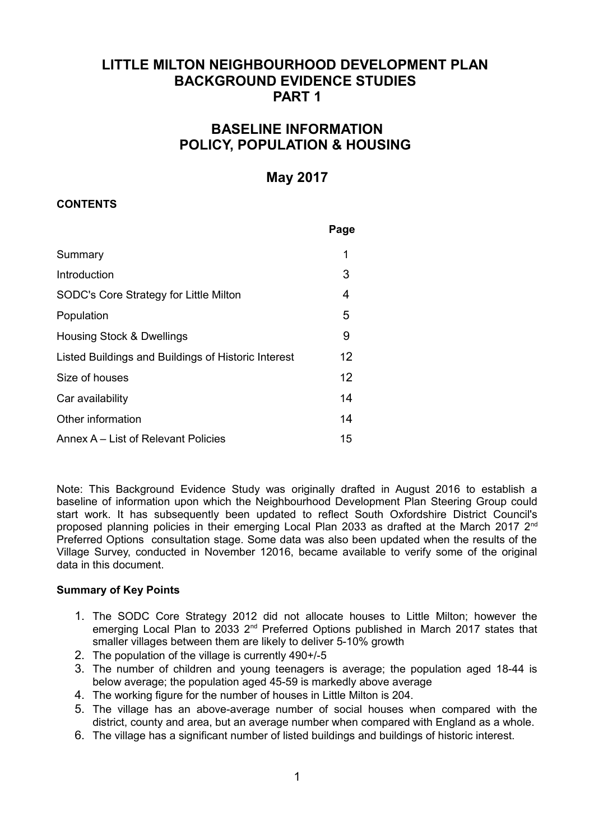# **LITTLE MILTON NEIGHBOURHOOD DEVELOPMENT PLAN BACKGROUND EVIDENCE STUDIES PART 1**

# **BASELINE INFORMATION POLICY, POPULATION & HOUSING**

# **May 2017**

# **CONTENTS**

|                                                     | Page |
|-----------------------------------------------------|------|
| Summary                                             | 1    |
| Introduction                                        | 3    |
| SODC's Core Strategy for Little Milton              | 4    |
| Population                                          | 5    |
| Housing Stock & Dwellings                           | 9    |
| Listed Buildings and Buildings of Historic Interest | 12   |
| Size of houses                                      | 12   |
| Car availability                                    | 14   |
| Other information                                   | 14   |
| Annex A – List of Relevant Policies                 | 15   |

Note: This Background Evidence Study was originally drafted in August 2016 to establish a baseline of information upon which the Neighbourhood Development Plan Steering Group could start work. It has subsequently been updated to reflect South Oxfordshire District Council's proposed planning policies in their emerging Local Plan 2033 as drafted at the March 2017 2<sup>nd</sup> Preferred Options consultation stage. Some data was also been updated when the results of the Village Survey, conducted in November 12016, became available to verify some of the original data in this document.

# **Summary of Key Points**

- 1. The SODC Core Strategy 2012 did not allocate houses to Little Milton; however the emerging Local Plan to 2033 2<sup>nd</sup> Preferred Options published in March 2017 states that smaller villages between them are likely to deliver 5-10% growth
- 2. The population of the village is currently 490+/-5
- 3. The number of children and young teenagers is average; the population aged 18-44 is below average; the population aged 45-59 is markedly above average
- 4. The working figure for the number of houses in Little Milton is 204.
- 5. The village has an above-average number of social houses when compared with the district, county and area, but an average number when compared with England as a whole.
- 6. The village has a significant number of listed buildings and buildings of historic interest.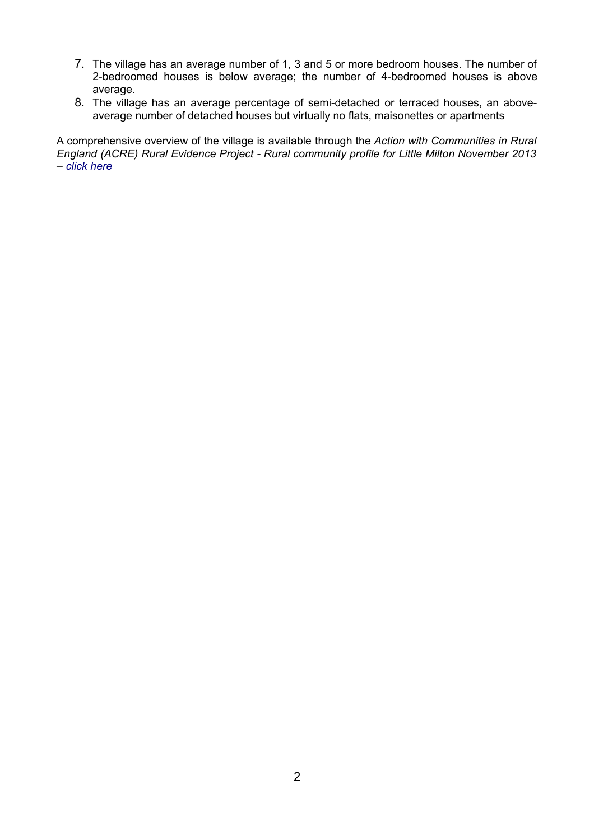- 7. The village has an average number of 1, 3 and 5 or more bedroom houses. The number of 2-bedroomed houses is below average; the number of 4-bedroomed houses is above average.
- 8. The village has an average percentage of semi-detached or terraced houses, an aboveaverage number of detached houses but virtually no flats, maisonettes or apartments

A comprehensive overview of the village is available through the *Action with Communities in Rural England (ACRE) Rural Evidence Project - Rural community profile for Little Milton November 2013 – [click here](http://www.communityfirstoxon.org/wp-content/uploads/2016/07/RuralPlaceProfile_E04008143_Little_Milton.pdf)*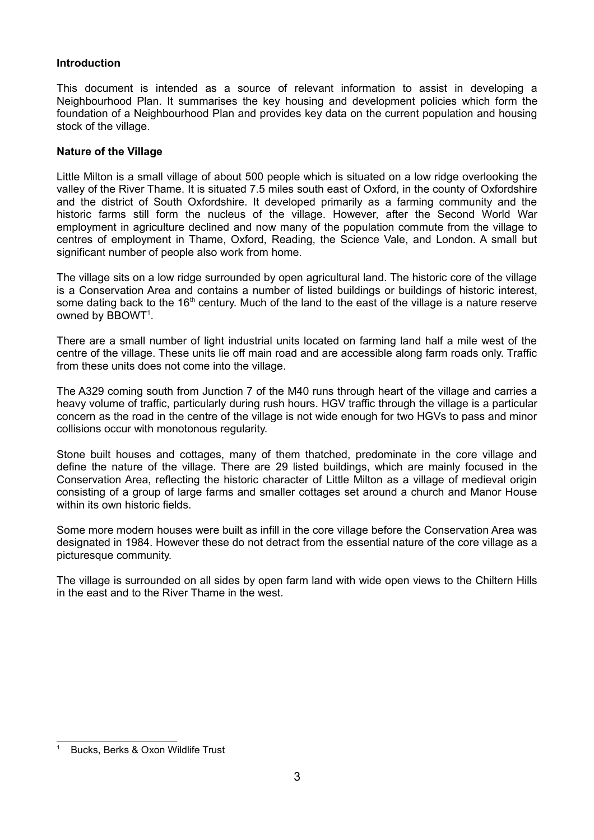### **Introduction**

This document is intended as a source of relevant information to assist in developing a Neighbourhood Plan. It summarises the key housing and development policies which form the foundation of a Neighbourhood Plan and provides key data on the current population and housing stock of the village.

#### **Nature of the Village**

Little Milton is a small village of about 500 people which is situated on a low ridge overlooking the valley of the River Thame. It is situated 7.5 miles south east of Oxford, in the county of Oxfordshire and the district of South Oxfordshire. It developed primarily as a farming community and the historic farms still form the nucleus of the village. However, after the Second World War employment in agriculture declined and now many of the population commute from the village to centres of employment in Thame, Oxford, Reading, the Science Vale, and London. A small but significant number of people also work from home.

The village sits on a low ridge surrounded by open agricultural land. The historic core of the village is a Conservation Area and contains a number of listed buildings or buildings of historic interest, some dating back to the 16<sup>th</sup> century. Much of the land to the east of the village is a nature reserve owned by  $B$ BOWT<sup>[1](#page-2-0)</sup>.

There are a small number of light industrial units located on farming land half a mile west of the centre of the village. These units lie off main road and are accessible along farm roads only. Traffic from these units does not come into the village.

The A329 coming south from Junction 7 of the M40 runs through heart of the village and carries a heavy volume of traffic, particularly during rush hours. HGV traffic through the village is a particular concern as the road in the centre of the village is not wide enough for two HGVs to pass and minor collisions occur with monotonous regularity.

Stone built houses and cottages, many of them thatched, predominate in the core village and define the nature of the village. There are 29 listed buildings, which are mainly focused in the Conservation Area, reflecting the historic character of Little Milton as a village of medieval origin consisting of a group of large farms and smaller cottages set around a church and Manor House within its own historic fields.

Some more modern houses were built as infill in the core village before the Conservation Area was designated in 1984. However these do not detract from the essential nature of the core village as a picturesque community.

The village is surrounded on all sides by open farm land with wide open views to the Chiltern Hills in the east and to the River Thame in the west.

<span id="page-2-0"></span>Bucks, Berks & Oxon Wildlife Trust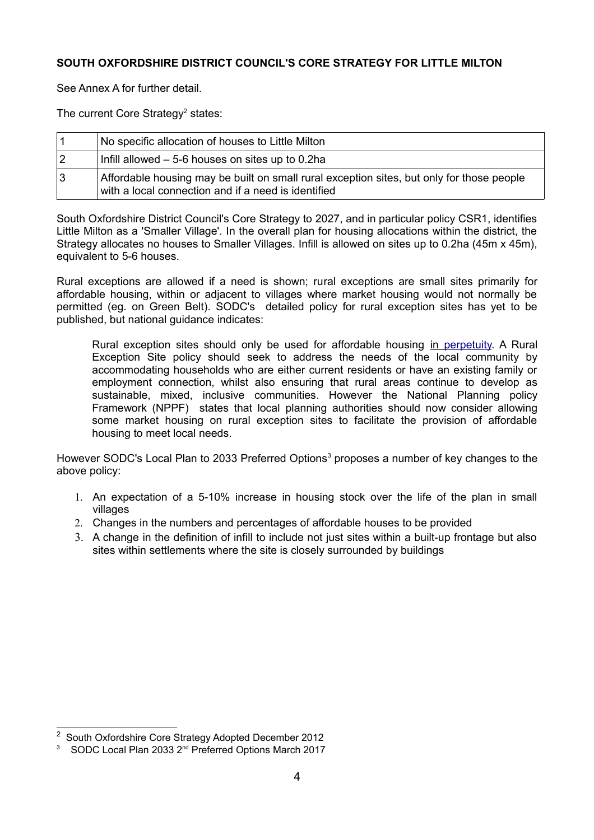# **SOUTH OXFORDSHIRE DISTRICT COUNCIL'S CORE STRATEGY FOR LITTLE MILTON**

See Annex A for further detail.

The current Core Strategy<sup>[2](#page-3-0)</sup> states:

|    | No specific allocation of houses to Little Milton                                                                                                |
|----|--------------------------------------------------------------------------------------------------------------------------------------------------|
|    | Infill allowed $-5$ -6 houses on sites up to 0.2ha                                                                                               |
| ∣3 | Affordable housing may be built on small rural exception sites, but only for those people<br>with a local connection and if a need is identified |

South Oxfordshire District Council's Core Strategy to 2027, and in particular policy CSR1, identifies Little Milton as a 'Smaller Village'. In the overall plan for housing allocations within the district, the Strategy allocates no houses to Smaller Villages. Infill is allowed on sites up to 0.2ha (45m x 45m), equivalent to 5-6 houses.

Rural exceptions are allowed if a need is shown; rural exceptions are small sites primarily for affordable housing, within or adjacent to villages where market housing would not normally be permitted (eg. on Green Belt). SODC's detailed policy for rural exception sites has yet to be published, but national guidance indicates:

Rural exception sites should only be used for affordable housing in [perpetuity.](http://www.deliveraffordablehomes.co.uk/glossary/p/perpetuity/) A Rural Exception Site policy should seek to address the needs of the local community by accommodating households who are either current residents or have an existing family or employment connection, whilst also ensuring that rural areas continue to develop as sustainable, mixed, inclusive communities. However the National Planning policy Framework (NPPF) states that local planning authorities should now consider allowing some market housing on rural exception sites to facilitate the provision of affordable housing to meet local needs.

However SODC's Local Plan to 20[3](#page-3-1)3 Preferred Options<sup>3</sup> proposes a number of key changes to the above policy:

- 1. An expectation of a 5-10% increase in housing stock over the life of the plan in small villages
- 2. Changes in the numbers and percentages of affordable houses to be provided
- 3. A change in the definition of infill to include not just sites within a built-up frontage but also sites within settlements where the site is closely surrounded by buildings

<span id="page-3-0"></span><sup>&</sup>lt;sup>2</sup> South Oxfordshire Core Strategy Adopted December 2012

<span id="page-3-1"></span><sup>&</sup>lt;sup>3</sup> SODC Local Plan 2033 2<sup>nd</sup> Preferred Options March 2017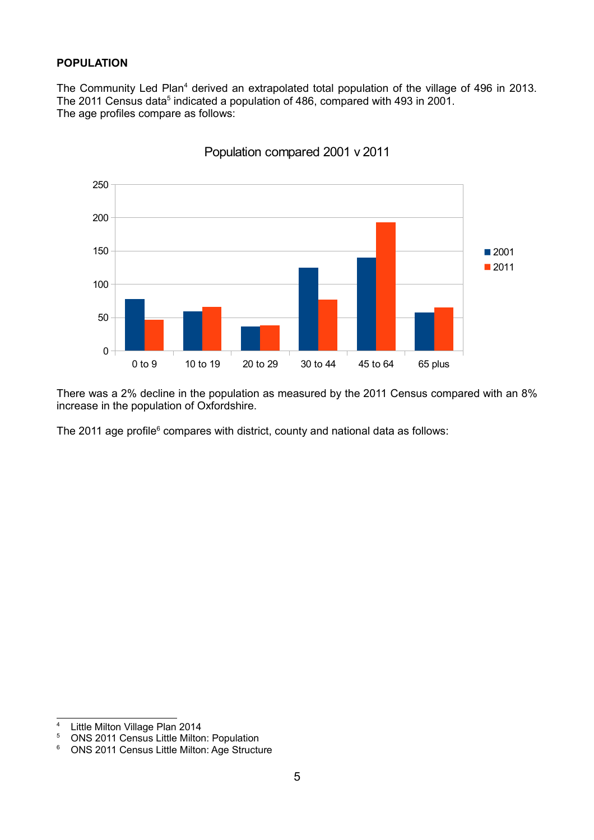### **POPULATION**

The Community Led Plan<sup>[4](#page-4-0)</sup> derived an extrapolated total population of the village of 496 in 2013. The 2011 Census data<sup>[5](#page-4-1)</sup> indicated a population of 486, compared with 493 in 2001. The age profiles compare as follows:



Population compared 2001 v 2011

There was a 2% decline in the population as measured by the 2011 Census compared with an 8% increase in the population of Oxfordshire.

The 2011 age profile $6$  compares with district, county and national data as follows:

<span id="page-4-0"></span><sup>&</sup>lt;sup>4</sup> Little Milton Village Plan 2014<br><sup>5</sup> ONS 2011 Census Little Milton

<span id="page-4-1"></span><sup>5</sup> ONS 2011 Census Little Milton: Population

<span id="page-4-2"></span><sup>6</sup> ONS 2011 Census Little Milton: Age Structure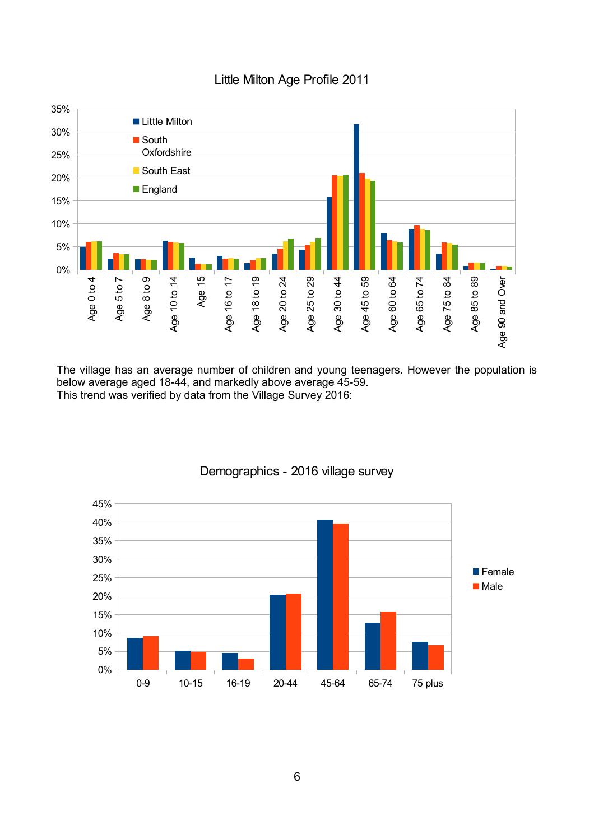

# Little Milton Age Profile 2011

The village has an average number of children and young teenagers. However the population is below average aged 18-44, and markedly above average 45-59. This trend was verified by data from the Village Survey 2016:



# Demographics - 2016 village survey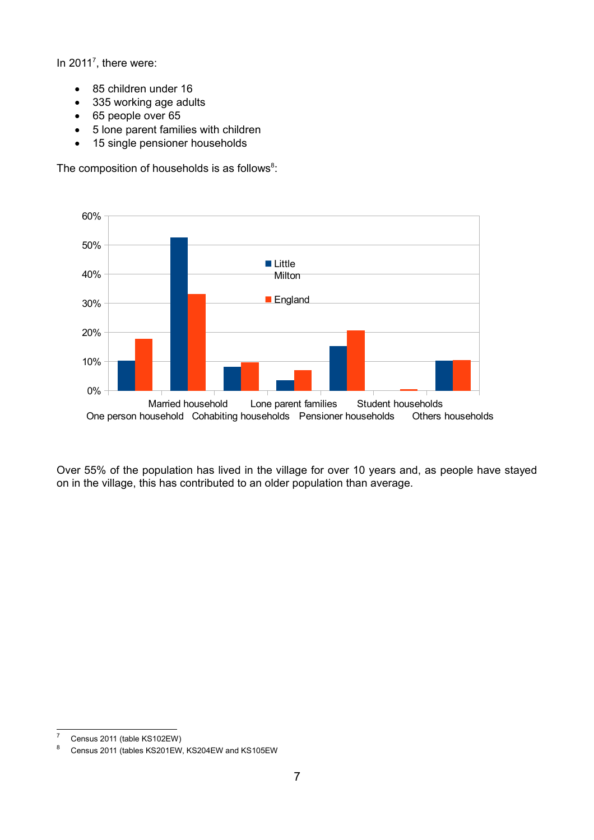In 2011<sup>[7](#page-6-0)</sup>, there were:

- 85 children under 16
- 335 working age adults
- 65 people over 65
- 5 lone parent families with children
- 15 single pensioner households

The composition of households is as follows $8$ :



Over 55% of the population has lived in the village for over 10 years and, as people have stayed on in the village, this has contributed to an older population than average.

<span id="page-6-0"></span><sup>&</sup>lt;sup>7</sup> Census 2011 (table KS102EW)<sup>8</sup> Census 2011 (tables KS201EW)

<span id="page-6-1"></span>Census 2011 (tables KS201EW, KS204EW and KS105EW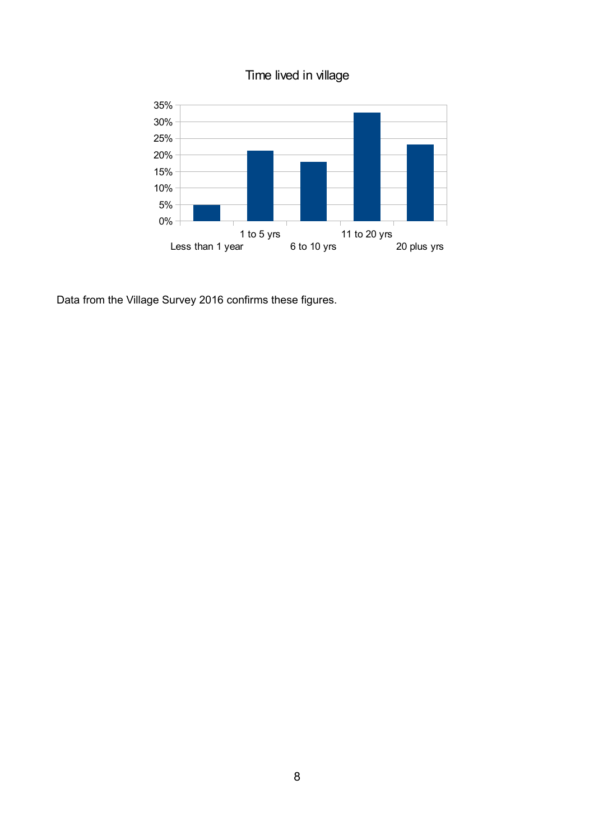



Data from the Village Survey 2016 confirms these figures.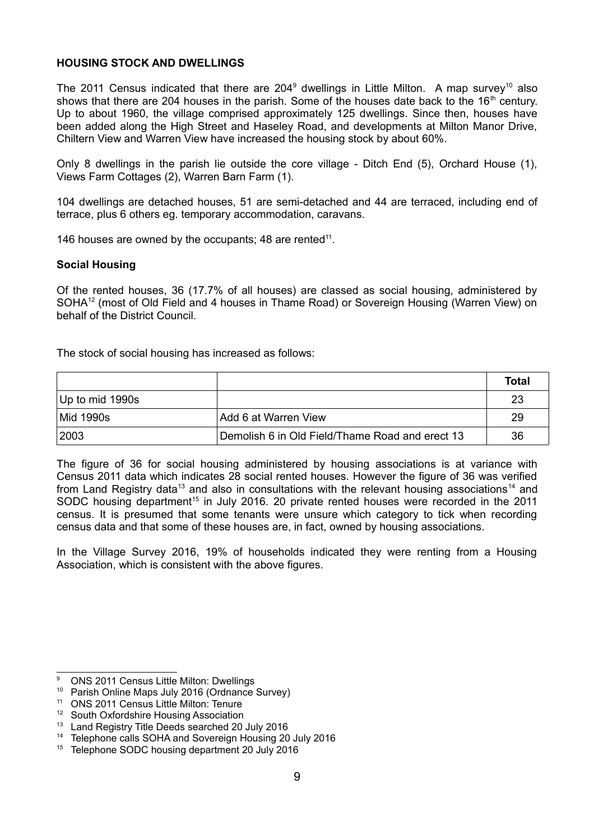### **HOUSING STOCK AND DWELLINGS**

The 2011 Census indicated that there are 204<sup>[9](#page-8-0)</sup> dwellings in Little Milton. A map survey<sup>[10](#page-8-1)</sup> also shows that there are 204 houses in the parish. Some of the houses date back to the  $16<sup>th</sup>$  century. Up to about 1960, the village comprised approximately 125 dwellings. Since then, houses have been added along the High Street and Haseley Road, and developments at Milton Manor Drive, Chiltern View and Warren View have increased the housing stock by about 60%.

Only 8 dwellings in the parish lie outside the core village - Ditch End (5), Orchard House (1), Views Farm Cottages (2), Warren Barn Farm (1).

104 dwellings are detached houses, 51 are semi-detached and 44 are terraced, including end of terrace, plus 6 others eg. temporary accommodation, caravans.

146 houses are owned by the occupants; 48 are rented<sup>[11](#page-8-2)</sup>.

### **Social Housing**

Of the rented houses, 36 (17.7% of all houses) are classed as social housing, administered by SOHA<sup>[12](#page-8-3)</sup> (most of Old Field and 4 houses in Thame Road) or Sovereign Housing (Warren View) on behalf of the District Council.

The stock of social housing has increased as follows:

|                    |                                                 | Total |
|--------------------|-------------------------------------------------|-------|
| $ Up$ to mid 1990s |                                                 | 23    |
| Mid 1990s          | Add 6 at Warren View                            | 29    |
| 2003               | Demolish 6 in Old Field/Thame Road and erect 13 | 36    |

The figure of 36 for social housing administered by housing associations is at variance with Census 2011 data which indicates 28 social rented houses. However the figure of 36 was verified from Land Registry data<sup>[13](#page-8-4)</sup> and also in consultations with the relevant housing associations<sup>[14](#page-8-5)</sup> and SODC housing department<sup>[15](#page-8-6)</sup> in July 2016. 20 private rented houses were recorded in the 2011 census. It is presumed that some tenants were unsure which category to tick when recording census data and that some of these houses are, in fact, owned by housing associations.

In the Village Survey 2016, 19% of households indicated they were renting from a Housing Association, which is consistent with the above figures.

<span id="page-8-0"></span><sup>&</sup>lt;sup>9</sup> ONS 2011 Census Little Milton: Dwellings

<span id="page-8-1"></span><sup>10</sup> Parish Online Maps July 2016 (Ordnance Survey)

<span id="page-8-2"></span><sup>11</sup> ONS 2011 Census Little Milton: Tenure

<span id="page-8-3"></span><sup>&</sup>lt;sup>12</sup> South Oxfordshire Housing Association

<span id="page-8-4"></span><sup>&</sup>lt;sup>13</sup> Land Registry Title Deeds searched 20 July 2016

<span id="page-8-5"></span><sup>&</sup>lt;sup>14</sup> Telephone calls SOHA and Sovereign Housing 20 July 2016

<span id="page-8-6"></span><sup>&</sup>lt;sup>15</sup> Telephone SODC housing department 20 July 2016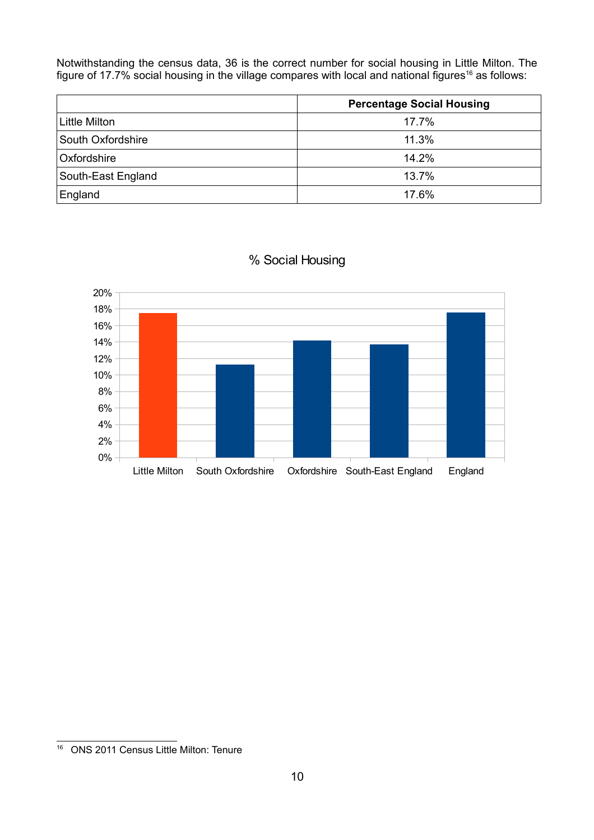Notwithstanding the census data, 36 is the correct number for social housing in Little Milton. The figure of 17.7% social housing in the village compares with local and national figures<sup>[16](#page-9-0)</sup> as follows:

|                    | <b>Percentage Social Housing</b> |  |
|--------------------|----------------------------------|--|
| Little Milton      | 17.7%                            |  |
| South Oxfordshire  | 11.3%                            |  |
| Oxfordshire        | 14.2%                            |  |
| South-East England | 13.7%                            |  |
| England            | 17.6%                            |  |



# % Social Housing

<span id="page-9-0"></span><sup>16</sup> ONS 2011 Census Little Milton: Tenure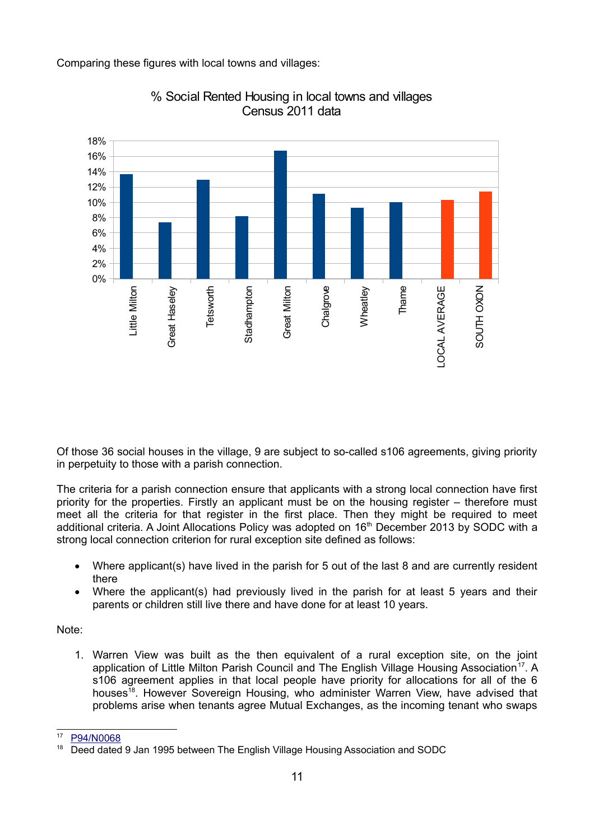Comparing these figures with local towns and villages:



% Social Rented Housing in local towns and villages Census 2011 data

Of those 36 social houses in the village, 9 are subject to so-called s106 agreements, giving priority in perpetuity to those with a parish connection.

The criteria for a parish connection ensure that applicants with a strong local connection have first priority for the properties. Firstly an applicant must be on the housing register – therefore must meet all the criteria for that register in the first place. Then they might be required to meet additional criteria. A Joint Allocations Policy was adopted on 16<sup>th</sup> December 2013 by SODC with a strong local connection criterion for rural exception site defined as follows:

- Where applicant(s) have lived in the parish for 5 out of the last 8 and are currently resident there
- Where the applicant(s) had previously lived in the parish for at least 5 years and their parents or children still live there and have done for at least 10 years.

Note:

1. Warren View was built as the then equivalent of a rural exception site, on the joint application of Little Milton Parish Council and The English Village Housing Association<sup>[17](#page-10-0)</sup>. A s106 agreement applies in that local people have priority for allocations for all of the 6 houses<sup>[18](#page-10-1)</sup>. However Sovereign Housing, who administer Warren View, have advised that problems arise when tenants agree Mutual Exchanges, as the incoming tenant who swaps

<span id="page-10-0"></span>[P94/N0068](http://www.southoxon.gov.uk/ccm/planning/HistoryDetails.jsp?REF=P94/N0068&MAP=NO)

<span id="page-10-1"></span><sup>&</sup>lt;sup>18</sup> Deed dated 9 Jan 1995 between The English Village Housing Association and SODC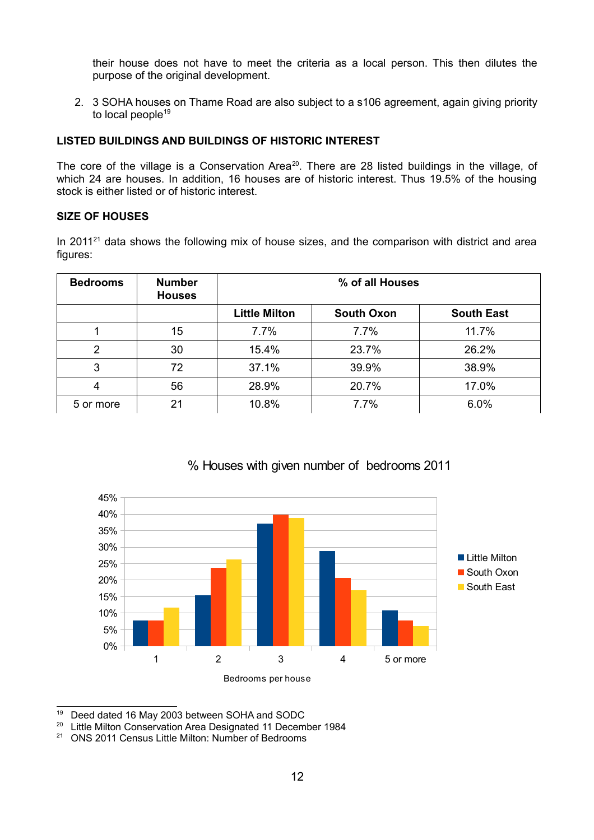their house does not have to meet the criteria as a local person. This then dilutes the purpose of the original development.

2. 3 SOHA houses on Thame Road are also subject to a s106 agreement, again giving priority to local people<sup>[19](#page-11-0)</sup>

## **LISTED BUILDINGS AND BUILDINGS OF HISTORIC INTEREST**

The core of the village is a Conservation Area<sup>[20](#page-11-1)</sup>. There are 28 listed buildings in the village, of which 24 are houses. In addition, 16 houses are of historic interest. Thus 19.5% of the housing stock is either listed or of historic interest.

### **SIZE OF HOUSES**

In 2011 $21$  data shows the following mix of house sizes, and the comparison with district and area figures:

| <b>Bedrooms</b> | <b>Number</b><br><b>Houses</b> | % of all Houses      |                   |                   |
|-----------------|--------------------------------|----------------------|-------------------|-------------------|
|                 |                                | <b>Little Milton</b> | <b>South Oxon</b> | <b>South East</b> |
|                 | 15                             | 7.7%                 | 7.7%              | 11.7%             |
| 2               | 30                             | 15.4%                | 23.7%             | 26.2%             |
| 3               | 72                             | 37.1%                | 39.9%             | 38.9%             |
| 4               | 56                             | 28.9%                | 20.7%             | 17.0%             |
| 5 or more       | 21                             | 10.8%                | 7.7%              | 6.0%              |



# % Houses with given number of bedrooms 2011

<span id="page-11-0"></span><sup>19</sup> Deed dated 16 May 2003 between SOHA and SODC

<span id="page-11-1"></span><sup>&</sup>lt;sup>20</sup> Little Milton Conservation Area Designated 11 December 1984

<span id="page-11-2"></span><sup>&</sup>lt;sup>21</sup> ONS 2011 Census Little Milton: Number of Bedrooms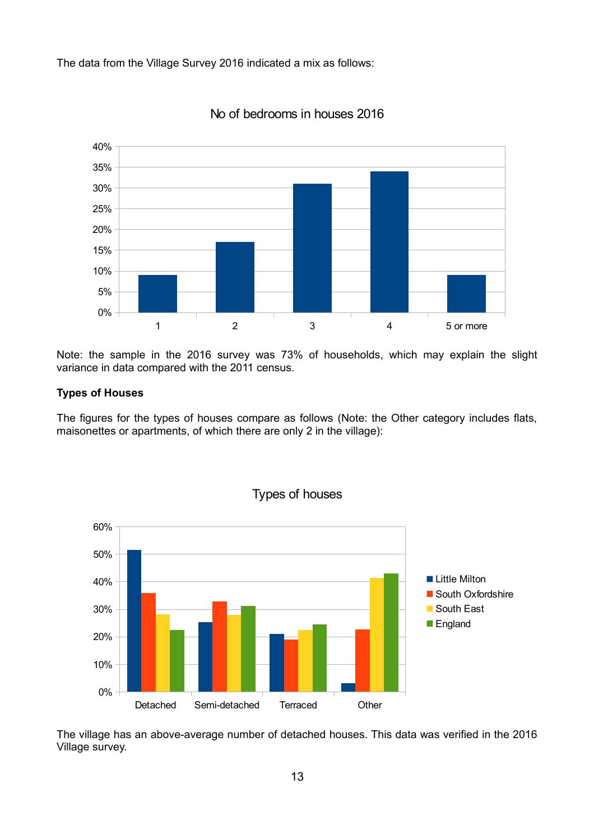The data from the Village Survey 2016 indicated a mix as follows:



No of bedrooms in houses 2016

Note: the sample in the 2016 survey was 73% of households, which may explain the slight variance in data compared with the 2011 census.

### **Types of Houses**

The figures for the types of houses compare as follows (Note: the Other category includes flats, maisonettes or apartments, of which there are only 2 in the village):



The village has an above-average number of detached houses. This data was verified in the 2016 Village survey.

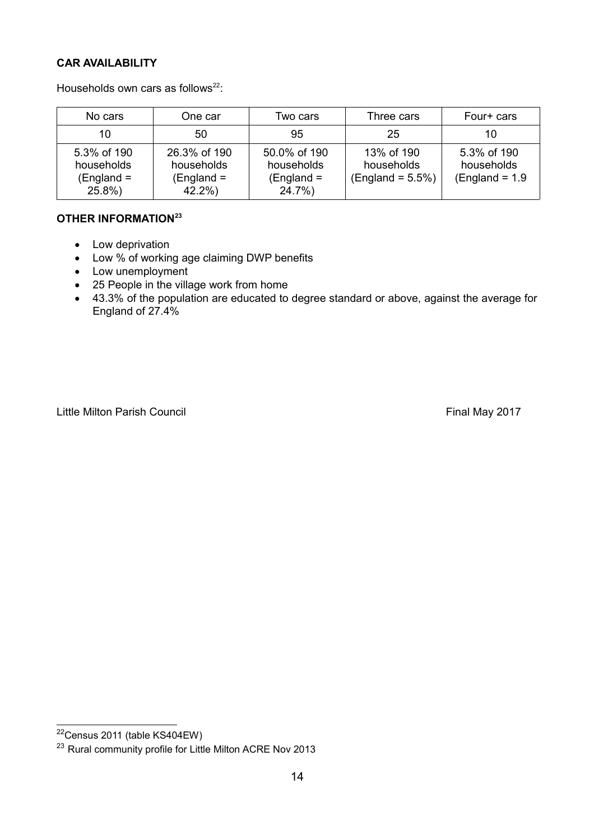# **CAR AVAILABILITY**

Households own cars as follows<sup>[22](#page-13-0)</sup>:

| No cars                                          | One car                                           | Two cars                                             | Three cars                                     | Four+ cars                                     |
|--------------------------------------------------|---------------------------------------------------|------------------------------------------------------|------------------------------------------------|------------------------------------------------|
| 10                                               | 50                                                | 95                                                   | 25                                             | 10                                             |
| 5.3% of 190<br>households<br>(England =<br>25.8% | 26.3% of 190<br>households<br>(England =<br>42.2% | 50.0% of 190<br>households<br>$(England =$<br>24.7%) | 13% of 190<br>households<br>$(England = 5.5%)$ | 5.3% of 190<br>households<br>$(England = 1.9)$ |

# **OTHER INFORMATION[23](#page-13-1)**

- Low deprivation
- Low % of working age claiming DWP benefits
- Low unemployment
- 25 People in the village work from home
- 43.3% of the population are educated to degree standard or above, against the average for England of 27.4%

Little Milton Parish Council **Example 2017** Final May 2017

<span id="page-13-0"></span><sup>22</sup>Census 2011 (table KS404EW)

<span id="page-13-1"></span><sup>&</sup>lt;sup>23</sup> Rural community profile for Little Milton ACRE Nov 2013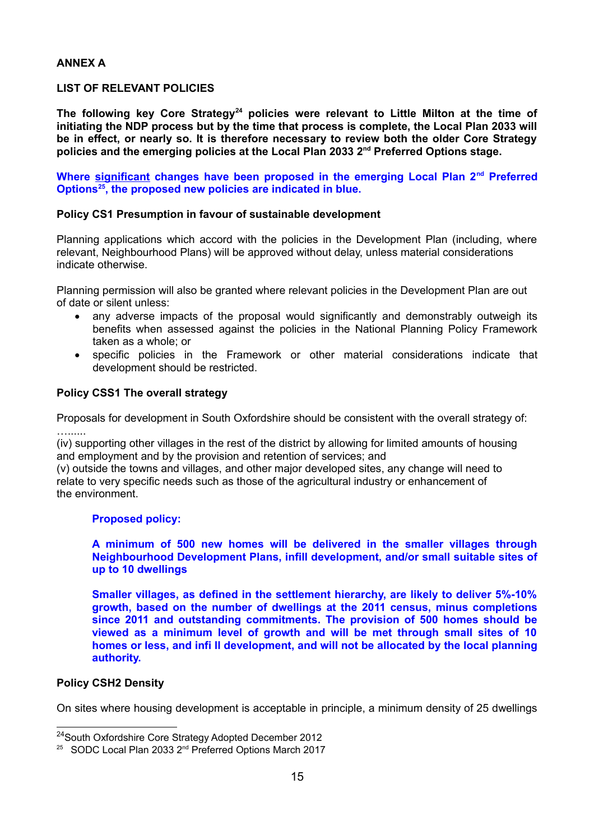#### **ANNEX A**

### **LIST OF RELEVANT POLICIES**

**The following key Core Strategy[24](#page-14-0) policies were relevant to Little Milton at the time of initiating the NDP process but by the time that process is complete, the Local Plan 2033 will be in effect, or nearly so. It is therefore necessary to review both the older Core Strategy policies and the emerging policies at the Local Plan 2033 2nd Preferred Options stage.** 

**Where significant changes have been proposed in the emerging Local Plan 2nd Preferred Options[25](#page-14-1), the proposed new policies are indicated in blue.**

#### **Policy CS1 Presumption in favour of sustainable development**

Planning applications which accord with the policies in the Development Plan (including, where relevant, Neighbourhood Plans) will be approved without delay, unless material considerations indicate otherwise.

Planning permission will also be granted where relevant policies in the Development Plan are out of date or silent unless:

- any adverse impacts of the proposal would significantly and demonstrably outweigh its benefits when assessed against the policies in the National Planning Policy Framework taken as a whole; or
- specific policies in the Framework or other material considerations indicate that development should be restricted.

#### **Policy CSS1 The overall strategy**

Proposals for development in South Oxfordshire should be consistent with the overall strategy of: …......

(iv) supporting other villages in the rest of the district by allowing for limited amounts of housing and employment and by the provision and retention of services; and

(v) outside the towns and villages, and other major developed sites, any change will need to relate to very specific needs such as those of the agricultural industry or enhancement of the environment.

#### **Proposed policy:**

#### **A minimum of 500 new homes will be delivered in the smaller villages through Neighbourhood Development Plans, infill development, and/or small suitable sites of up to 10 dwellings**

**Smaller villages, as defined in the settlement hierarchy, are likely to deliver 5%-10% growth, based on the number of dwellings at the 2011 census, minus completions since 2011 and outstanding commitments. The provision of 500 homes should be viewed as a minimum level of growth and will be met through small sites of 10 homes or less, and infi ll development, and will not be allocated by the local planning authority.**

### **Policy CSH2 Density**

On sites where housing development is acceptable in principle, a minimum density of 25 dwellings

<span id="page-14-0"></span><sup>24</sup>South Oxfordshire Core Strategy Adopted December 2012

<span id="page-14-1"></span><sup>&</sup>lt;sup>25</sup> SODC Local Plan 2033 2<sup>nd</sup> Preferred Options March 2017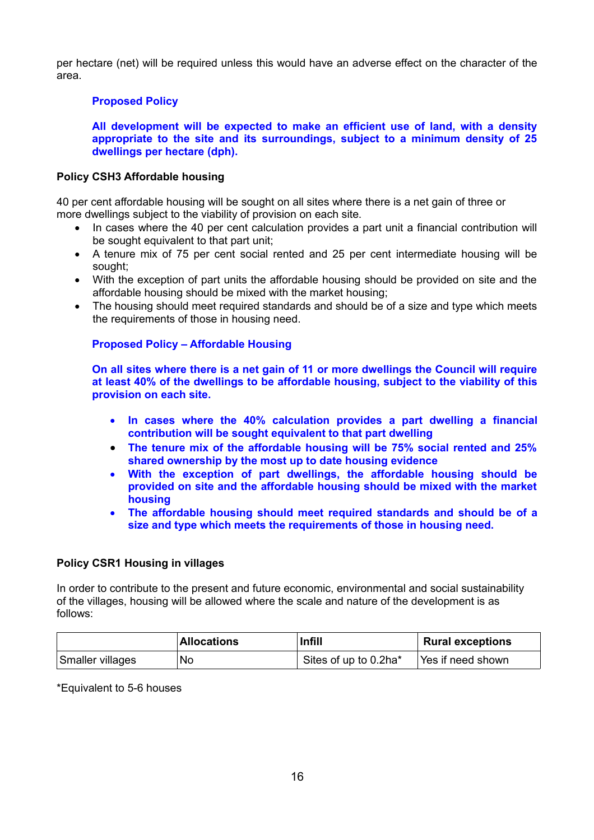per hectare (net) will be required unless this would have an adverse effect on the character of the area.

#### **Proposed Policy**

**All development will be expected to make an efficient use of land, with a density appropriate to the site and its surroundings, subject to a minimum density of 25 dwellings per hectare (dph).**

#### **Policy CSH3 Affordable housing**

40 per cent affordable housing will be sought on all sites where there is a net gain of three or more dwellings subject to the viability of provision on each site.

- In cases where the 40 per cent calculation provides a part unit a financial contribution will be sought equivalent to that part unit;
- A tenure mix of 75 per cent social rented and 25 per cent intermediate housing will be sought;
- With the exception of part units the affordable housing should be provided on site and the affordable housing should be mixed with the market housing;
- The housing should meet required standards and should be of a size and type which meets the requirements of those in housing need.

## **Proposed Policy – Affordable Housing**

**On all sites where there is a net gain of 11 or more dwellings the Council will require at least 40% of the dwellings to be affordable housing, subject to the viability of this provision on each site.** 

- **In cases where the 40% calculation provides a part dwelling a financial contribution will be sought equivalent to that part dwelling**
- **The tenure mix of the affordable housing will be 75% social rented and 25% shared ownership by the most up to date housing evidence**
- **With the exception of part dwellings, the affordable housing should be provided on site and the affordable housing should be mixed with the market housing**
- **The affordable housing should meet required standards and should be of a size and type which meets the requirements of those in housing need.**

### **Policy CSR1 Housing in villages**

In order to contribute to the present and future economic, environmental and social sustainability of the villages, housing will be allowed where the scale and nature of the development is as follows:

|                  | <b>Allocations</b> | <b>Infill</b>         | <b>Rural exceptions</b> |
|------------------|--------------------|-----------------------|-------------------------|
| Smaller villages | No                 | Sites of up to 0.2ha* | Yes if need shown       |

\*Equivalent to 5-6 houses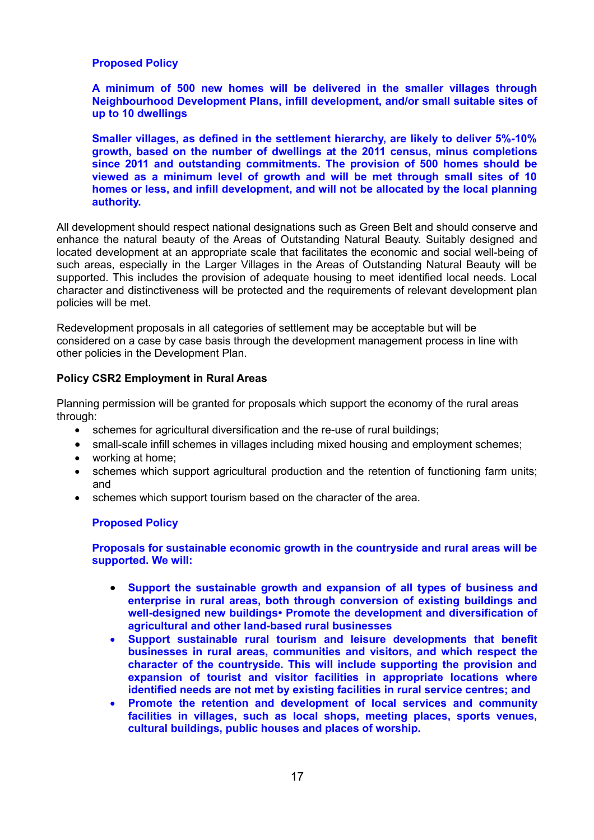#### **Proposed Policy**

**A minimum of 500 new homes will be delivered in the smaller villages through Neighbourhood Development Plans, infill development, and/or small suitable sites of up to 10 dwellings**

**Smaller villages, as defined in the settlement hierarchy, are likely to deliver 5%-10% growth, based on the number of dwellings at the 2011 census, minus completions since 2011 and outstanding commitments. The provision of 500 homes should be viewed as a minimum level of growth and will be met through small sites of 10 homes or less, and infill development, and will not be allocated by the local planning authority.**

All development should respect national designations such as Green Belt and should conserve and enhance the natural beauty of the Areas of Outstanding Natural Beauty. Suitably designed and located development at an appropriate scale that facilitates the economic and social well-being of such areas, especially in the Larger Villages in the Areas of Outstanding Natural Beauty will be supported. This includes the provision of adequate housing to meet identified local needs. Local character and distinctiveness will be protected and the requirements of relevant development plan policies will be met.

Redevelopment proposals in all categories of settlement may be acceptable but will be considered on a case by case basis through the development management process in line with other policies in the Development Plan.

#### **Policy CSR2 Employment in Rural Areas**

Planning permission will be granted for proposals which support the economy of the rural areas through:

- schemes for agricultural diversification and the re-use of rural buildings;
- small-scale infill schemes in villages including mixed housing and employment schemes;
- working at home;
- schemes which support agricultural production and the retention of functioning farm units; and
- schemes which support tourism based on the character of the area.

#### **Proposed Policy**

**Proposals for sustainable economic growth in the countryside and rural areas will be supported. We will:** 

- **Support the sustainable growth and expansion of all types of business and enterprise in rural areas, both through conversion of existing buildings and well-designed new buildings• Promote the development and diversification of agricultural and other land-based rural businesses**
- **Support sustainable rural tourism and leisure developments that benefit businesses in rural areas, communities and visitors, and which respect the character of the countryside. This will include supporting the provision and expansion of tourist and visitor facilities in appropriate locations where identified needs are not met by existing facilities in rural service centres; and**
- **Promote the retention and development of local services and community facilities in villages, such as local shops, meeting places, sports venues, cultural buildings, public houses and places of worship.**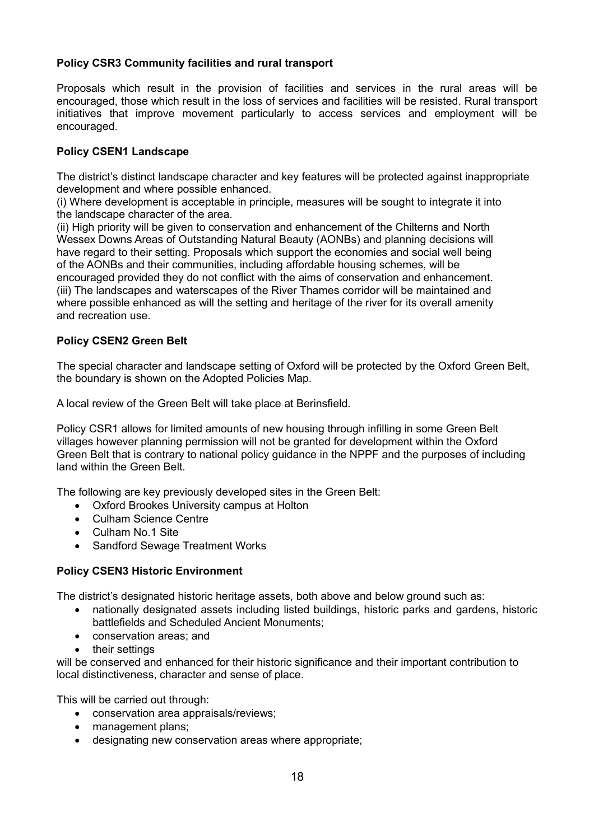# **Policy CSR3 Community facilities and rural transport**

Proposals which result in the provision of facilities and services in the rural areas will be encouraged, those which result in the loss of services and facilities will be resisted. Rural transport initiatives that improve movement particularly to access services and employment will be encouraged.

### **Policy CSEN1 Landscape**

The district's distinct landscape character and key features will be protected against inappropriate development and where possible enhanced.

(i) Where development is acceptable in principle, measures will be sought to integrate it into the landscape character of the area.

(ii) High priority will be given to conservation and enhancement of the Chilterns and North Wessex Downs Areas of Outstanding Natural Beauty (AONBs) and planning decisions will have regard to their setting. Proposals which support the economies and social well being of the AONBs and their communities, including affordable housing schemes, will be encouraged provided they do not conflict with the aims of conservation and enhancement. (iii) The landscapes and waterscapes of the River Thames corridor will be maintained and where possible enhanced as will the setting and heritage of the river for its overall amenity and recreation use.

## **Policy CSEN2 Green Belt**

The special character and landscape setting of Oxford will be protected by the Oxford Green Belt, the boundary is shown on the Adopted Policies Map.

A local review of the Green Belt will take place at Berinsfield.

Policy CSR1 allows for limited amounts of new housing through infilling in some Green Belt villages however planning permission will not be granted for development within the Oxford Green Belt that is contrary to national policy guidance in the NPPF and the purposes of including land within the Green Belt.

The following are key previously developed sites in the Green Belt:

- Oxford Brookes University campus at Holton
- Culham Science Centre
- Culham No.1 Site
- Sandford Sewage Treatment Works

### **Policy CSEN3 Historic Environment**

The district's designated historic heritage assets, both above and below ground such as:

- nationally designated assets including listed buildings, historic parks and gardens, historic battlefields and Scheduled Ancient Monuments;
- conservation areas; and
- their settings

will be conserved and enhanced for their historic significance and their important contribution to local distinctiveness, character and sense of place.

This will be carried out through:

- conservation area appraisals/reviews;
- management plans:
- designating new conservation areas where appropriate;